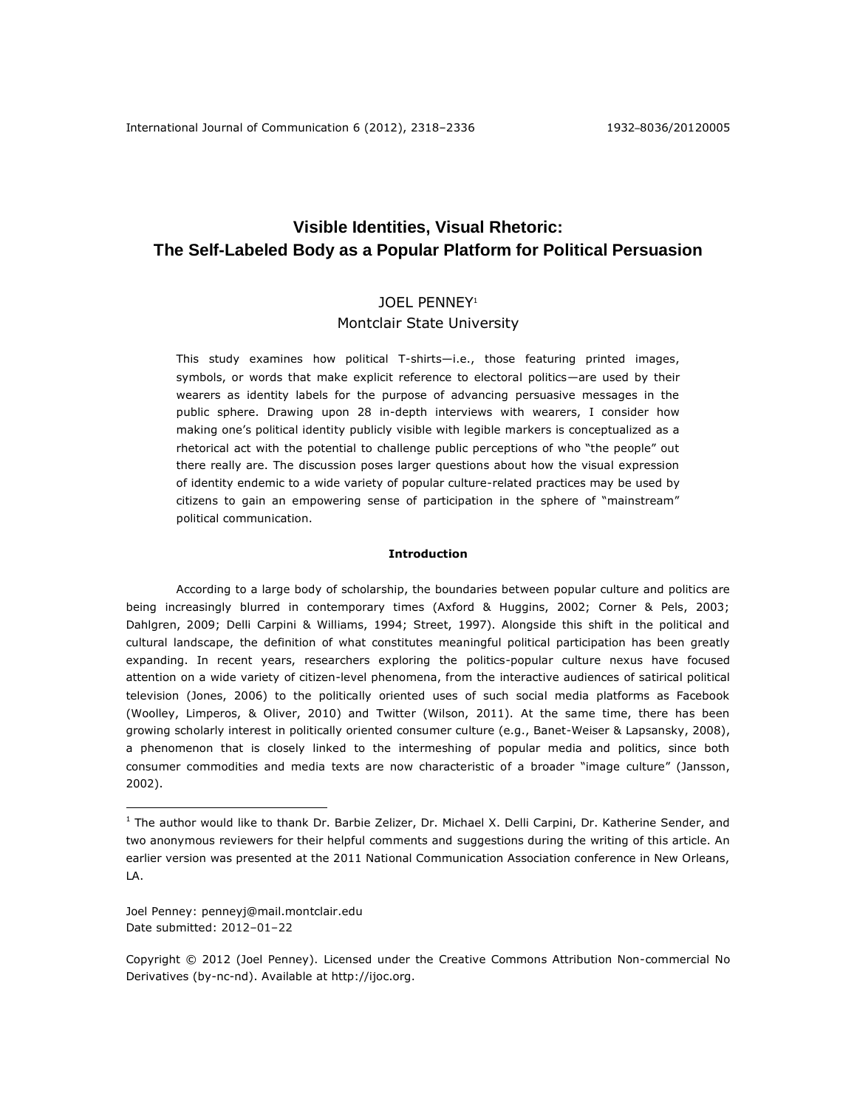# **Visible Identities, Visual Rhetoric: The Self-Labeled Body as a Popular Platform for Political Persuasion**

# JOEL PENNEY<sup>1</sup> Montclair State University

This study examines how political T-shirts—i.e., those featuring printed images, symbols, or words that make explicit reference to electoral politics—are used by their wearers as identity labels for the purpose of advancing persuasive messages in the public sphere. Drawing upon 28 in-depth interviews with wearers, I consider how making one's political identity publicly visible with legible markers is conceptualized as a rhetorical act with the potential to challenge public perceptions of who "the people" out there really are. The discussion poses larger questions about how the visual expression of identity endemic to a wide variety of popular culture-related practices may be used by citizens to gain an empowering sense of participation in the sphere of "mainstream" political communication.

# **Introduction**

According to a large body of scholarship, the boundaries between popular culture and politics are being increasingly blurred in contemporary times (Axford & Huggins, 2002; Corner & Pels, 2003; Dahlgren, 2009; Delli Carpini & Williams, 1994; Street, 1997). Alongside this shift in the political and cultural landscape, the definition of what constitutes meaningful political participation has been greatly expanding. In recent years, researchers exploring the politics-popular culture nexus have focused attention on a wide variety of citizen-level phenomena, from the interactive audiences of satirical political television (Jones, 2006) to the politically oriented uses of such social media platforms as Facebook (Woolley, Limperos, & Oliver, 2010) and Twitter (Wilson, 2011). At the same time, there has been growing scholarly interest in politically oriented consumer culture (e.g., Banet-Weiser & Lapsansky, 2008), a phenomenon that is closely linked to the intermeshing of popular media and politics, since both consumer commodities and media texts are now characteristic of a broader "image culture" (Jansson, 2002).

Joel Penney: [penneyj@mail.montclair.edu](mailto:penneyj@mail.montclair.edu) Date submitted: 2012–01–22

 $\overline{a}$ 

Copyright © 2012 (Joel Penney). Licensed under the Creative Commons Attribution Non-commercial No Derivatives (by-nc-nd). Available at http://ijoc.org.

<sup>&</sup>lt;sup>1</sup> The author would like to thank Dr. Barbie Zelizer, Dr. Michael X. Delli Carpini, Dr. Katherine Sender, and two anonymous reviewers for their helpful comments and suggestions during the writing of this article. An earlier version was presented at the 2011 National Communication Association conference in New Orleans, LA.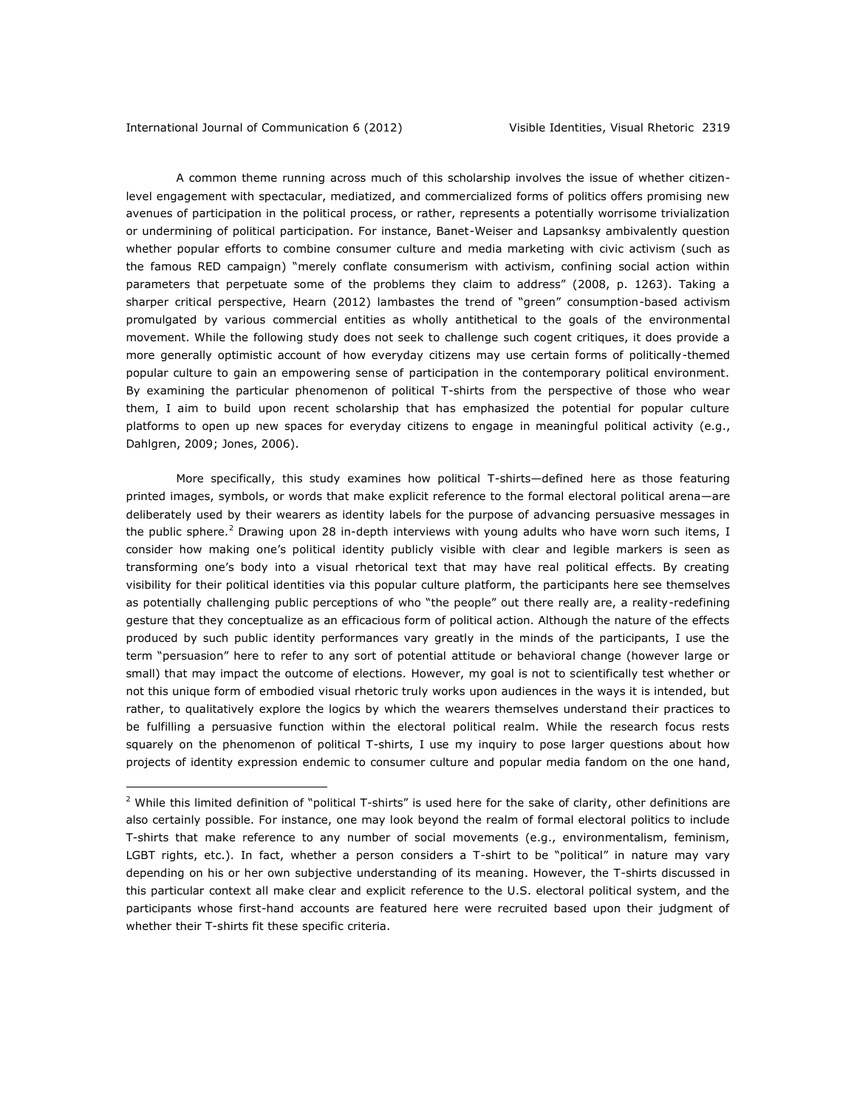$\overline{a}$ 

A common theme running across much of this scholarship involves the issue of whether citizenlevel engagement with spectacular, mediatized, and commercialized forms of politics offers promising new avenues of participation in the political process, or rather, represents a potentially worrisome trivialization or undermining of political participation. For instance, Banet-Weiser and Lapsanksy ambivalently question whether popular efforts to combine consumer culture and media marketing with civic activism (such as the famous RED campaign) "merely conflate consumerism with activism, confining social action within parameters that perpetuate some of the problems they claim to address" (2008, p. 1263). Taking a sharper critical perspective, Hearn (2012) lambastes the trend of "green" consumption-based activism promulgated by various commercial entities as wholly antithetical to the goals of the environmental movement. While the following study does not seek to challenge such cogent critiques, it does provide a more generally optimistic account of how everyday citizens may use certain forms of politically-themed popular culture to gain an empowering sense of participation in the contemporary political environment. By examining the particular phenomenon of political T-shirts from the perspective of those who wear them, I aim to build upon recent scholarship that has emphasized the potential for popular culture platforms to open up new spaces for everyday citizens to engage in meaningful political activity (e.g., Dahlgren, 2009; Jones, 2006).

More specifically, this study examines how political T-shirts—defined here as those featuring printed images, symbols, or words that make explicit reference to the formal electoral political arena—are deliberately used by their wearers as identity labels for the purpose of advancing persuasive messages in the public sphere.<sup>2</sup> Drawing upon 28 in-depth interviews with young adults who have worn such items, I consider how making one's political identity publicly visible with clear and legible markers is seen as transforming one's body into a visual rhetorical text that may have real political effects. By creating visibility for their political identities via this popular culture platform, the participants here see themselves as potentially challenging public perceptions of who "the people" out there really are, a reality-redefining gesture that they conceptualize as an efficacious form of political action. Although the nature of the effects produced by such public identity performances vary greatly in the minds of the participants, I use the term "persuasion" here to refer to any sort of potential attitude or behavioral change (however large or small) that may impact the outcome of elections. However, my goal is not to scientifically test whether or not this unique form of embodied visual rhetoric truly works upon audiences in the ways it is intended, but rather, to qualitatively explore the logics by which the wearers themselves understand their practices to be fulfilling a persuasive function within the electoral political realm. While the research focus rests squarely on the phenomenon of political T-shirts, I use my inquiry to pose larger questions about how projects of identity expression endemic to consumer culture and popular media fandom on the one hand,

 $2$  While this limited definition of "political T-shirts" is used here for the sake of clarity, other definitions are also certainly possible. For instance, one may look beyond the realm of formal electoral politics to include T-shirts that make reference to any number of social movements (e.g., environmentalism, feminism, LGBT rights, etc.). In fact, whether a person considers a T-shirt to be "political" in nature may vary depending on his or her own subjective understanding of its meaning. However, the T-shirts discussed in this particular context all make clear and explicit reference to the U.S. electoral political system, and the participants whose first-hand accounts are featured here were recruited based upon their judgment of whether their T-shirts fit these specific criteria.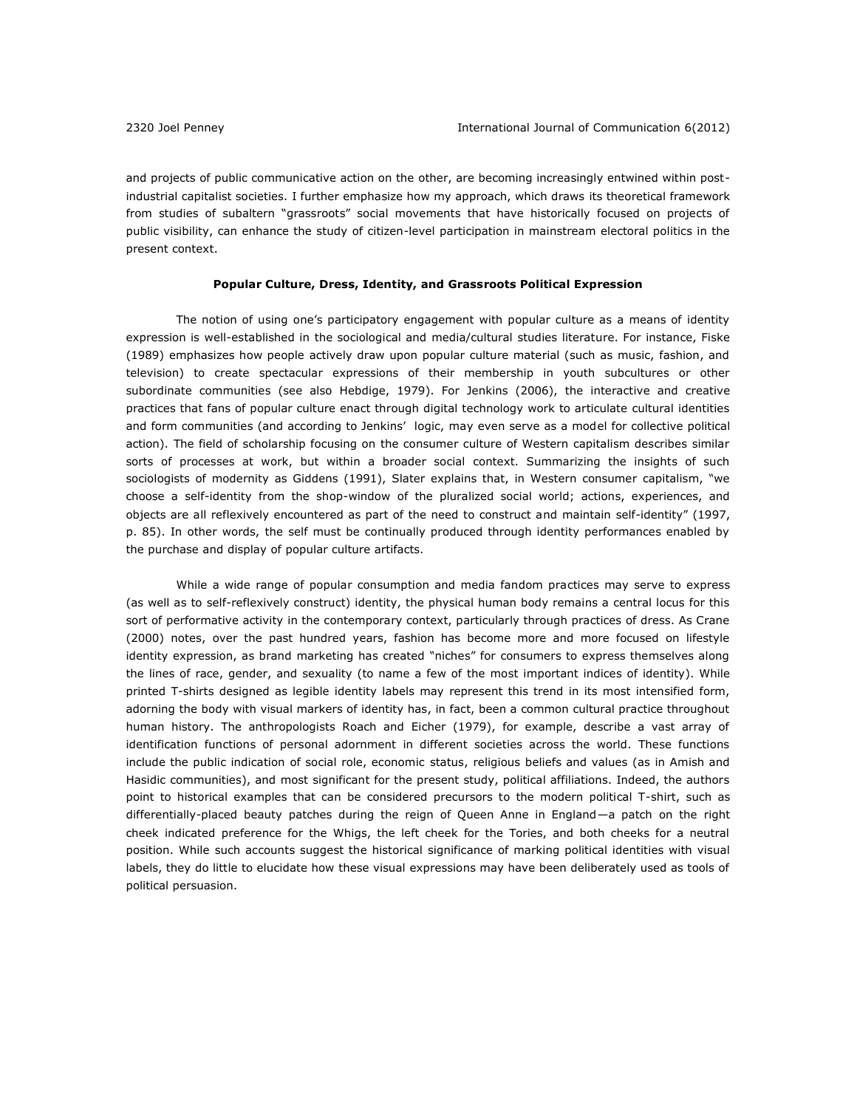and projects of public communicative action on the other, are becoming increasingly entwined within postindustrial capitalist societies. I further emphasize how my approach, which draws its theoretical framework from studies of subaltern "grassroots" social movements that have historically focused on projects of public visibility, can enhance the study of citizen-level participation in mainstream electoral politics in the present context.

# **Popular Culture, Dress, Identity, and Grassroots Political Expression**

The notion of using one's participatory engagement with popular culture as a means of identity expression is well-established in the sociological and media/cultural studies literature. For instance, Fiske (1989) emphasizes how people actively draw upon popular culture material (such as music, fashion, and television) to create spectacular expressions of their membership in youth subcultures or other subordinate communities (see also Hebdige, 1979). For Jenkins (2006), the interactive and creative practices that fans of popular culture enact through digital technology work to articulate cultural identities and form communities (and according to Jenkins' logic, may even serve as a model for collective political action). The field of scholarship focusing on the consumer culture of Western capitalism describes similar sorts of processes at work, but within a broader social context. Summarizing the insights of such sociologists of modernity as Giddens (1991), Slater explains that, in Western consumer capitalism, "we choose a self-identity from the shop-window of the pluralized social world; actions, experiences, and objects are all reflexively encountered as part of the need to construct and maintain self-identity" (1997, p. 85). In other words, the self must be continually produced through identity performances enabled by the purchase and display of popular culture artifacts.

While a wide range of popular consumption and media fandom practices may serve to express (as well as to self-reflexively construct) identity, the physical human body remains a central locus for this sort of performative activity in the contemporary context, particularly through practices of dress. As Crane (2000) notes, over the past hundred years, fashion has become more and more focused on lifestyle identity expression, as brand marketing has created "niches" for consumers to express themselves along the lines of race, gender, and sexuality (to name a few of the most important indices of identity). While printed T-shirts designed as legible identity labels may represent this trend in its most intensified form, adorning the body with visual markers of identity has, in fact, been a common cultural practice throughout human history. The anthropologists Roach and Eicher (1979), for example, describe a vast array of identification functions of personal adornment in different societies across the world. These functions include the public indication of social role, economic status, religious beliefs and values (as in Amish and Hasidic communities), and most significant for the present study, political affiliations. Indeed, the authors point to historical examples that can be considered precursors to the modern political T-shirt, such as differentially-placed beauty patches during the reign of Queen Anne in England—a patch on the right cheek indicated preference for the Whigs, the left cheek for the Tories, and both cheeks for a neutral position. While such accounts suggest the historical significance of marking political identities with visual labels, they do little to elucidate how these visual expressions may have been deliberately used as tools of political persuasion.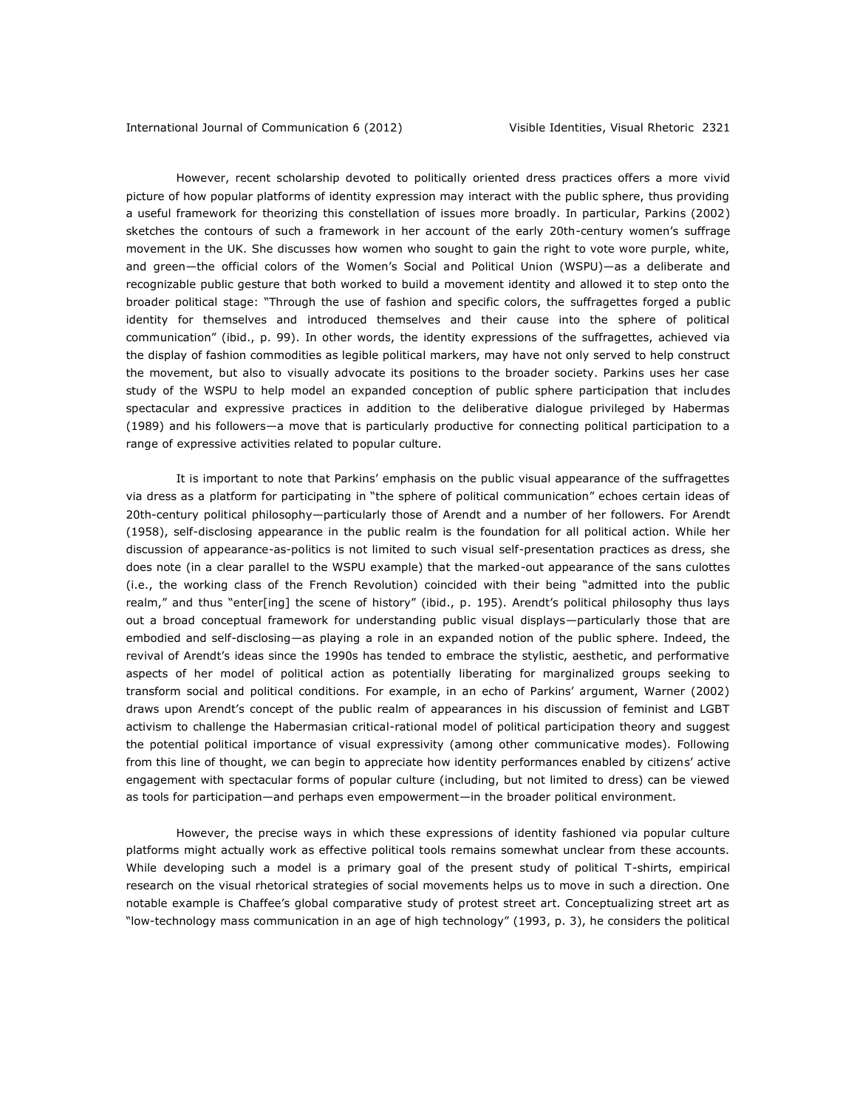However, recent scholarship devoted to politically oriented dress practices offers a more vivid picture of how popular platforms of identity expression may interact with the public sphere, thus providing a useful framework for theorizing this constellation of issues more broadly. In particular, Parkins (2002) sketches the contours of such a framework in her account of the early 20th-century women's suffrage movement in the UK. She discusses how women who sought to gain the right to vote wore purple, white, and green—the official colors of the Women's Social and Political Union (WSPU)—as a deliberate and recognizable public gesture that both worked to build a movement identity and allowed it to step onto the broader political stage: "Through the use of fashion and specific colors, the suffragettes forged a public identity for themselves and introduced themselves and their cause into the sphere of political communication" (ibid., p. 99). In other words, the identity expressions of the suffragettes, achieved via the display of fashion commodities as legible political markers, may have not only served to help construct the movement, but also to visually advocate its positions to the broader society. Parkins uses her case study of the WSPU to help model an expanded conception of public sphere participation that includes spectacular and expressive practices in addition to the deliberative dialogue privileged by Habermas (1989) and his followers—a move that is particularly productive for connecting political participation to a range of expressive activities related to popular culture.

It is important to note that Parkins' emphasis on the public visual appearance of the suffragettes via dress as a platform for participating in "the sphere of political communication" echoes certain ideas of 20th-century political philosophy—particularly those of Arendt and a number of her followers. For Arendt (1958), self-disclosing appearance in the public realm is the foundation for all political action. While her discussion of appearance-as-politics is not limited to such visual self-presentation practices as dress, she does note (in a clear parallel to the WSPU example) that the marked-out appearance of the sans culottes (i.e., the working class of the French Revolution) coincided with their being "admitted into the public realm," and thus "enter[ing] the scene of history" (ibid., p. 195). Arendt's political philosophy thus lays out a broad conceptual framework for understanding public visual displays—particularly those that are embodied and self-disclosing—as playing a role in an expanded notion of the public sphere. Indeed, the revival of Arendt's ideas since the 1990s has tended to embrace the stylistic, aesthetic, and performative aspects of her model of political action as potentially liberating for marginalized groups seeking to transform social and political conditions. For example, in an echo of Parkins' argument, Warner (2002) draws upon Arendt's concept of the public realm of appearances in his discussion of feminist and LGBT activism to challenge the Habermasian critical-rational model of political participation theory and suggest the potential political importance of visual expressivity (among other communicative modes). Following from this line of thought, we can begin to appreciate how identity performances enabled by citizens' active engagement with spectacular forms of popular culture (including, but not limited to dress) can be viewed as tools for participation—and perhaps even empowerment—in the broader political environment.

However, the precise ways in which these expressions of identity fashioned via popular culture platforms might actually work as effective political tools remains somewhat unclear from these accounts. While developing such a model is a primary goal of the present study of political T-shirts, empirical research on the visual rhetorical strategies of social movements helps us to move in such a direction. One notable example is Chaffee's global comparative study of protest street art. Conceptualizing street art as "low-technology mass communication in an age of high technology" (1993, p. 3), he considers the political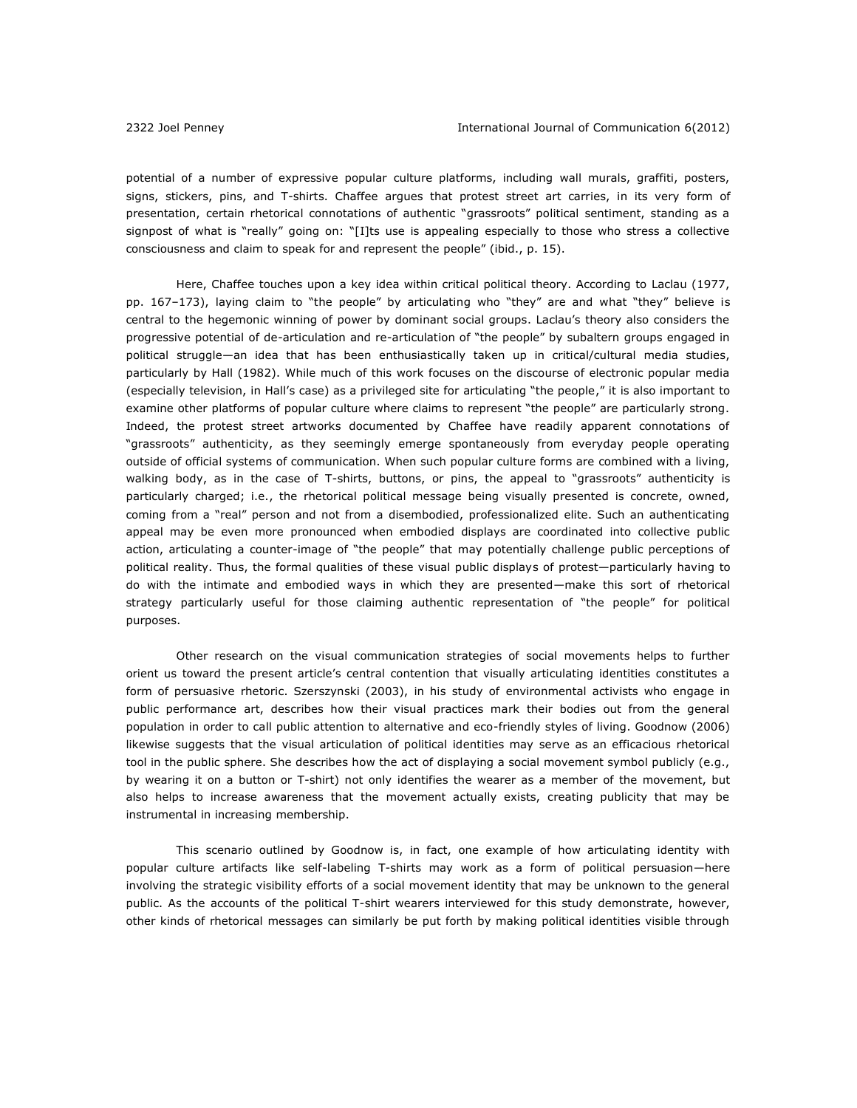potential of a number of expressive popular culture platforms, including wall murals, graffiti, posters, signs, stickers, pins, and T-shirts. Chaffee argues that protest street art carries, in its very form of presentation, certain rhetorical connotations of authentic "grassroots" political sentiment, standing as a signpost of what is "really" going on: "[I]ts use is appealing especially to those who stress a collective consciousness and claim to speak for and represent the people" (ibid., p. 15).

Here, Chaffee touches upon a key idea within critical political theory. According to Laclau (1977, pp. 167–173), laying claim to "the people" by articulating who "they" are and what "they" believe is central to the hegemonic winning of power by dominant social groups. Laclau's theory also considers the progressive potential of de-articulation and re-articulation of "the people" by subaltern groups engaged in political struggle—an idea that has been enthusiastically taken up in critical/cultural media studies, particularly by Hall (1982). While much of this work focuses on the discourse of electronic popular media (especially television, in Hall's case) as a privileged site for articulating "the people," it is also important to examine other platforms of popular culture where claims to represent "the people" are particularly strong. Indeed, the protest street artworks documented by Chaffee have readily apparent connotations of "grassroots" authenticity, as they seemingly emerge spontaneously from everyday people operating outside of official systems of communication. When such popular culture forms are combined with a living, walking body, as in the case of T-shirts, buttons, or pins, the appeal to "grassroots" authenticity is particularly charged; i.e., the rhetorical political message being visually presented is concrete, owned, coming from a "real" person and not from a disembodied, professionalized elite. Such an authenticating appeal may be even more pronounced when embodied displays are coordinated into collective public action, articulating a counter-image of "the people" that may potentially challenge public perceptions of political reality. Thus, the formal qualities of these visual public displays of protest—particularly having to do with the intimate and embodied ways in which they are presented—make this sort of rhetorical strategy particularly useful for those claiming authentic representation of "the people" for political purposes.

Other research on the visual communication strategies of social movements helps to further orient us toward the present article's central contention that visually articulating identities constitutes a form of persuasive rhetoric. Szerszynski (2003), in his study of environmental activists who engage in public performance art, describes how their visual practices mark their bodies out from the general population in order to call public attention to alternative and eco-friendly styles of living. Goodnow (2006) likewise suggests that the visual articulation of political identities may serve as an efficacious rhetorical tool in the public sphere. She describes how the act of displaying a social movement symbol publicly (e.g., by wearing it on a button or T-shirt) not only identifies the wearer as a member of the movement, but also helps to increase awareness that the movement actually exists, creating publicity that may be instrumental in increasing membership.

This scenario outlined by Goodnow is, in fact, one example of how articulating identity with popular culture artifacts like self-labeling T-shirts may work as a form of political persuasion—here involving the strategic visibility efforts of a social movement identity that may be unknown to the general public. As the accounts of the political T-shirt wearers interviewed for this study demonstrate, however, other kinds of rhetorical messages can similarly be put forth by making political identities visible through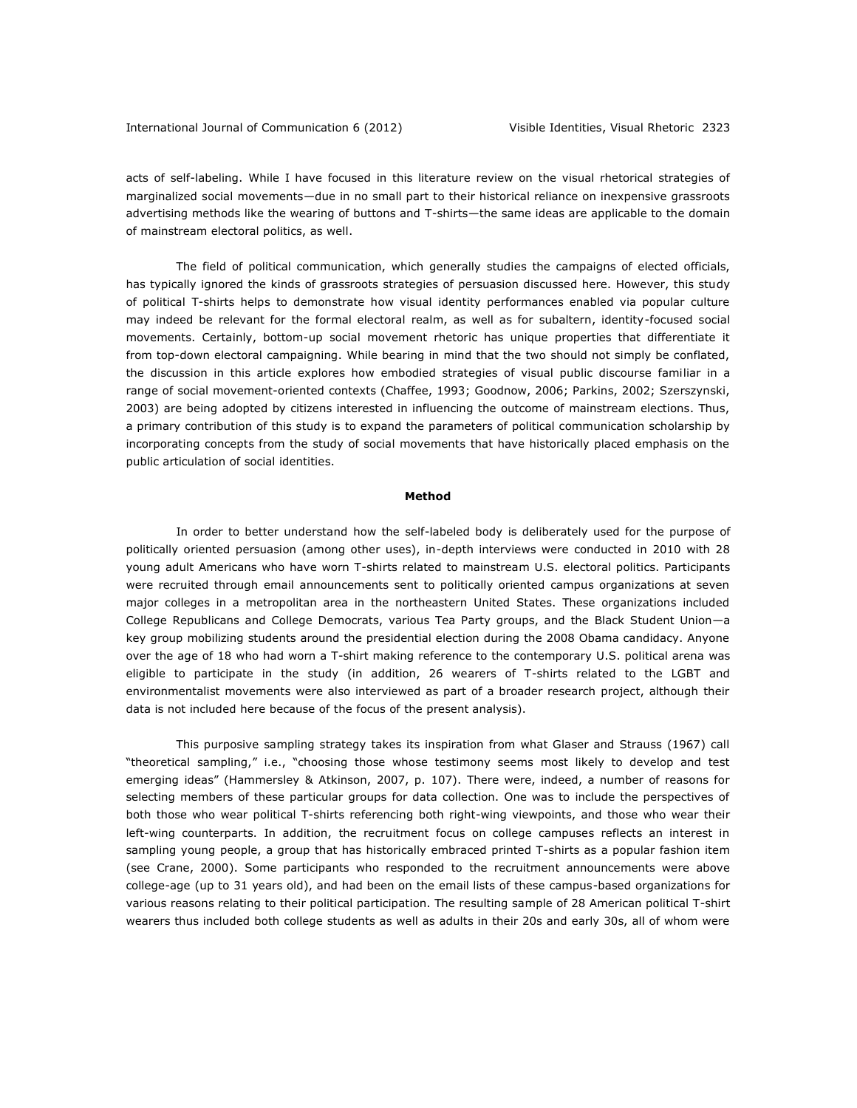acts of self-labeling. While I have focused in this literature review on the visual rhetorical strategies of marginalized social movements—due in no small part to their historical reliance on inexpensive grassroots advertising methods like the wearing of buttons and T-shirts—the same ideas are applicable to the domain of mainstream electoral politics, as well.

The field of political communication, which generally studies the campaigns of elected officials, has typically ignored the kinds of grassroots strategies of persuasion discussed here. However, this study of political T-shirts helps to demonstrate how visual identity performances enabled via popular culture may indeed be relevant for the formal electoral realm, as well as for subaltern, identity-focused social movements. Certainly, bottom-up social movement rhetoric has unique properties that differentiate it from top-down electoral campaigning. While bearing in mind that the two should not simply be conflated, the discussion in this article explores how embodied strategies of visual public discourse familiar in a range of social movement-oriented contexts (Chaffee, 1993; Goodnow, 2006; Parkins, 2002; Szerszynski, 2003) are being adopted by citizens interested in influencing the outcome of mainstream elections. Thus, a primary contribution of this study is to expand the parameters of political communication scholarship by incorporating concepts from the study of social movements that have historically placed emphasis on the public articulation of social identities.

#### **Method**

In order to better understand how the self-labeled body is deliberately used for the purpose of politically oriented persuasion (among other uses), in-depth interviews were conducted in 2010 with 28 young adult Americans who have worn T-shirts related to mainstream U.S. electoral politics. Participants were recruited through email announcements sent to politically oriented campus organizations at seven major colleges in a metropolitan area in the northeastern United States. These organizations included College Republicans and College Democrats, various Tea Party groups, and the Black Student Union—a key group mobilizing students around the presidential election during the 2008 Obama candidacy. Anyone over the age of 18 who had worn a T-shirt making reference to the contemporary U.S. political arena was eligible to participate in the study (in addition, 26 wearers of T-shirts related to the LGBT and environmentalist movements were also interviewed as part of a broader research project, although their data is not included here because of the focus of the present analysis).

This purposive sampling strategy takes its inspiration from what Glaser and Strauss (1967) call "theoretical sampling," i.e., "choosing those whose testimony seems most likely to develop and test emerging ideas" (Hammersley & Atkinson, 2007, p. 107). There were, indeed, a number of reasons for selecting members of these particular groups for data collection. One was to include the perspectives of both those who wear political T-shirts referencing both right-wing viewpoints, and those who wear their left-wing counterparts. In addition, the recruitment focus on college campuses reflects an interest in sampling young people, a group that has historically embraced printed T-shirts as a popular fashion item (see Crane, 2000). Some participants who responded to the recruitment announcements were above college-age (up to 31 years old), and had been on the email lists of these campus-based organizations for various reasons relating to their political participation. The resulting sample of 28 American political T-shirt wearers thus included both college students as well as adults in their 20s and early 30s, all of whom were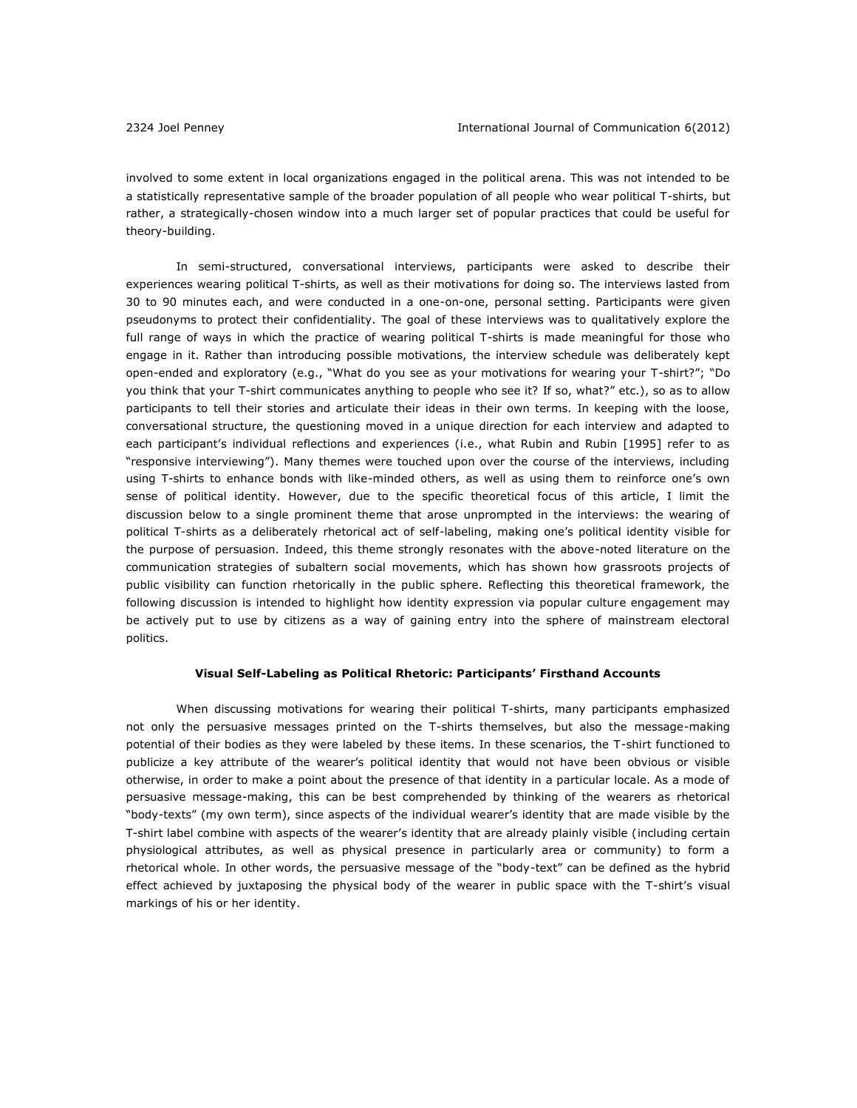involved to some extent in local organizations engaged in the political arena. This was not intended to be a statistically representative sample of the broader population of all people who wear political T-shirts, but rather, a strategically-chosen window into a much larger set of popular practices that could be useful for theory-building.

In semi-structured, conversational interviews, participants were asked to describe their experiences wearing political T-shirts, as well as their motivations for doing so. The interviews lasted from 30 to 90 minutes each, and were conducted in a one-on-one, personal setting. Participants were given pseudonyms to protect their confidentiality. The goal of these interviews was to qualitatively explore the full range of ways in which the practice of wearing political T-shirts is made meaningful for those who engage in it. Rather than introducing possible motivations, the interview schedule was deliberately kept open-ended and exploratory (e.g., "What do you see as your motivations for wearing your T-shirt?"; "Do you think that your T-shirt communicates anything to people who see it? If so, what?" etc.), so as to allow participants to tell their stories and articulate their ideas in their own terms. In keeping with the loose, conversational structure, the questioning moved in a unique direction for each interview and adapted to each participant's individual reflections and experiences (i.e., what Rubin and Rubin [1995] refer to as "responsive interviewing"). Many themes were touched upon over the course of the interviews, including using T-shirts to enhance bonds with like-minded others, as well as using them to reinforce one's own sense of political identity. However, due to the specific theoretical focus of this article, I limit the discussion below to a single prominent theme that arose unprompted in the interviews: the wearing of political T-shirts as a deliberately rhetorical act of self-labeling, making one's political identity visible for the purpose of persuasion. Indeed, this theme strongly resonates with the above-noted literature on the communication strategies of subaltern social movements, which has shown how grassroots projects of public visibility can function rhetorically in the public sphere. Reflecting this theoretical framework, the following discussion is intended to highlight how identity expression via popular culture engagement may be actively put to use by citizens as a way of gaining entry into the sphere of mainstream electoral politics.

#### **Visual Self-Labeling as Political Rhetoric: Participants' Firsthand Accounts**

When discussing motivations for wearing their political T-shirts, many participants emphasized not only the persuasive messages printed on the T-shirts themselves, but also the message-making potential of their bodies as they were labeled by these items. In these scenarios, the T-shirt functioned to publicize a key attribute of the wearer's political identity that would not have been obvious or visible otherwise, in order to make a point about the presence of that identity in a particular locale. As a mode of persuasive message-making, this can be best comprehended by thinking of the wearers as rhetorical "body-texts" (my own term), since aspects of the individual wearer's identity that are made visible by the T-shirt label combine with aspects of the wearer's identity that are already plainly visible (including certain physiological attributes, as well as physical presence in particularly area or community) to form a rhetorical whole. In other words, the persuasive message of the "body-text" can be defined as the hybrid effect achieved by juxtaposing the physical body of the wearer in public space with the T-shirt's visual markings of his or her identity.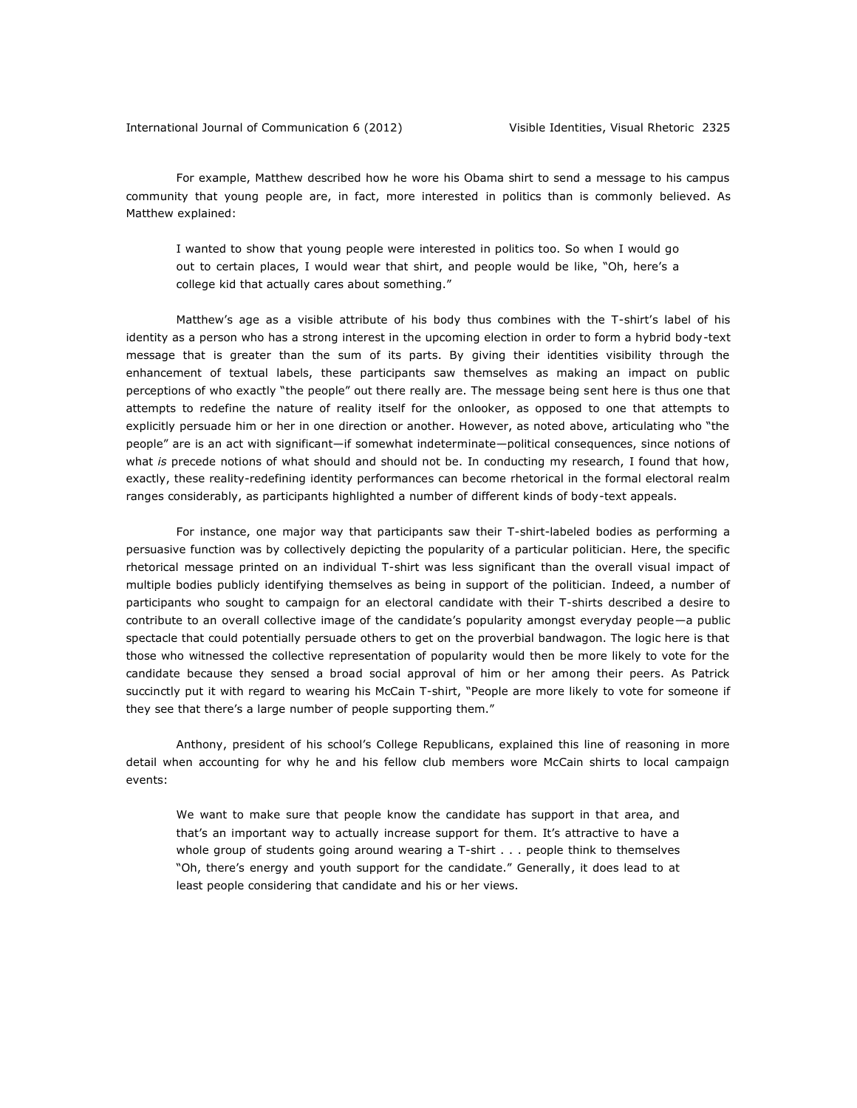For example, Matthew described how he wore his Obama shirt to send a message to his campus community that young people are, in fact, more interested in politics than is commonly believed. As Matthew explained:

I wanted to show that young people were interested in politics too. So when I would go out to certain places, I would wear that shirt, and people would be like, "Oh, here's a college kid that actually cares about something."

Matthew's age as a visible attribute of his body thus combines with the T-shirt's label of his identity as a person who has a strong interest in the upcoming election in order to form a hybrid body-text message that is greater than the sum of its parts. By giving their identities visibility through the enhancement of textual labels, these participants saw themselves as making an impact on public perceptions of who exactly "the people" out there really are. The message being sent here is thus one that attempts to redefine the nature of reality itself for the onlooker, as opposed to one that attempts to explicitly persuade him or her in one direction or another. However, as noted above, articulating who "the people" are is an act with significant—if somewhat indeterminate—political consequences, since notions of what *is* precede notions of what should and should not be. In conducting my research, I found that how, exactly, these reality-redefining identity performances can become rhetorical in the formal electoral realm ranges considerably, as participants highlighted a number of different kinds of body-text appeals.

For instance, one major way that participants saw their T-shirt-labeled bodies as performing a persuasive function was by collectively depicting the popularity of a particular politician. Here, the specific rhetorical message printed on an individual T-shirt was less significant than the overall visual impact of multiple bodies publicly identifying themselves as being in support of the politician. Indeed, a number of participants who sought to campaign for an electoral candidate with their T-shirts described a desire to contribute to an overall collective image of the candidate's popularity amongst everyday people—a public spectacle that could potentially persuade others to get on the proverbial bandwagon. The logic here is that those who witnessed the collective representation of popularity would then be more likely to vote for the candidate because they sensed a broad social approval of him or her among their peers. As Patrick succinctly put it with regard to wearing his McCain T-shirt, "People are more likely to vote for someone if they see that there's a large number of people supporting them."

Anthony, president of his school's College Republicans, explained this line of reasoning in more detail when accounting for why he and his fellow club members wore McCain shirts to local campaign events:

We want to make sure that people know the candidate has support in that area, and that's an important way to actually increase support for them. It's attractive to have a whole group of students going around wearing a T-shirt . . . people think to themselves "Oh, there's energy and youth support for the candidate." Generally, it does lead to at least people considering that candidate and his or her views.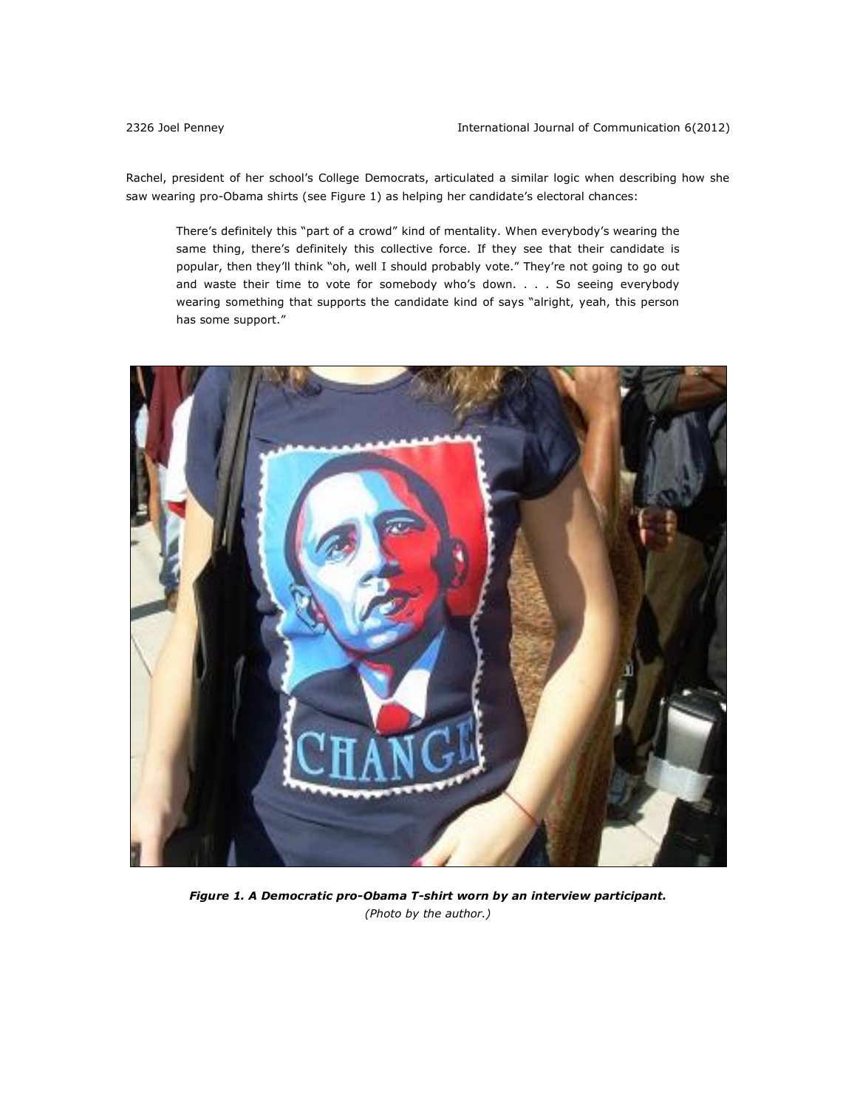Rachel, president of her school's College Democrats, articulated a similar logic when describing how she saw wearing pro-Obama shirts (see Figure 1) as helping her candidate's electoral chances:

There's definitely this "part of a crowd" kind of mentality. When everybody's wearing the same thing, there's definitely this collective force. If they see that their candidate is popular, then they'll think "oh, well I should probably vote." They're not going to go out and waste their time to vote for somebody who's down. . . . So seeing everybody wearing something that supports the candidate kind of says "alright, yeah, this person has some support."



*Figure 1. A Democratic pro-Obama T-shirt worn by an interview participant. (Photo by the author.)*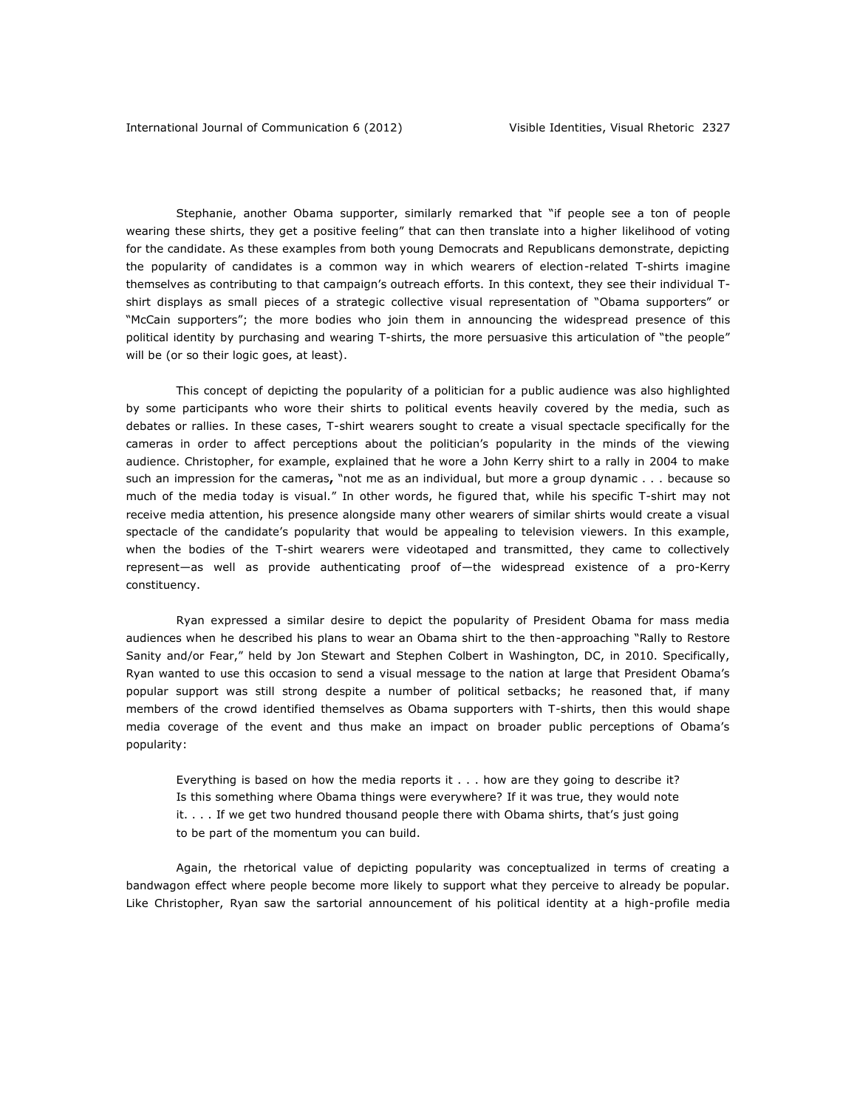Stephanie, another Obama supporter, similarly remarked that "if people see a ton of people wearing these shirts, they get a positive feeling" that can then translate into a higher likelihood of voting for the candidate. As these examples from both young Democrats and Republicans demonstrate, depicting the popularity of candidates is a common way in which wearers of election-related T-shirts imagine themselves as contributing to that campaign's outreach efforts. In this context, they see their individual Tshirt displays as small pieces of a strategic collective visual representation of "Obama supporters" or "McCain supporters"; the more bodies who join them in announcing the widespread presence of this political identity by purchasing and wearing T-shirts, the more persuasive this articulation of "the people" will be (or so their logic goes, at least).

This concept of depicting the popularity of a politician for a public audience was also highlighted by some participants who wore their shirts to political events heavily covered by the media, such as debates or rallies. In these cases, T-shirt wearers sought to create a visual spectacle specifically for the cameras in order to affect perceptions about the politician's popularity in the minds of the viewing audience. Christopher, for example, explained that he wore a John Kerry shirt to a rally in 2004 to make such an impression for the cameras**,** "not me as an individual, but more a group dynamic . . . because so much of the media today is visual." In other words, he figured that, while his specific T-shirt may not receive media attention, his presence alongside many other wearers of similar shirts would create a visual spectacle of the candidate's popularity that would be appealing to television viewers. In this example, when the bodies of the T-shirt wearers were videotaped and transmitted, they came to collectively represent—as well as provide authenticating proof of—the widespread existence of a pro-Kerry constituency.

Ryan expressed a similar desire to depict the popularity of President Obama for mass media audiences when he described his plans to wear an Obama shirt to the then-approaching "Rally to Restore Sanity and/or Fear," held by Jon Stewart and Stephen Colbert in Washington, DC, in 2010. Specifically, Ryan wanted to use this occasion to send a visual message to the nation at large that President Obama's popular support was still strong despite a number of political setbacks; he reasoned that, if many members of the crowd identified themselves as Obama supporters with T-shirts, then this would shape media coverage of the event and thus make an impact on broader public perceptions of Obama's popularity:

Everything is based on how the media reports it . . . how are they going to describe it? Is this something where Obama things were everywhere? If it was true, they would note it. . . . If we get two hundred thousand people there with Obama shirts, that's just going to be part of the momentum you can build.

Again, the rhetorical value of depicting popularity was conceptualized in terms of creating a bandwagon effect where people become more likely to support what they perceive to already be popular. Like Christopher, Ryan saw the sartorial announcement of his political identity at a high-profile media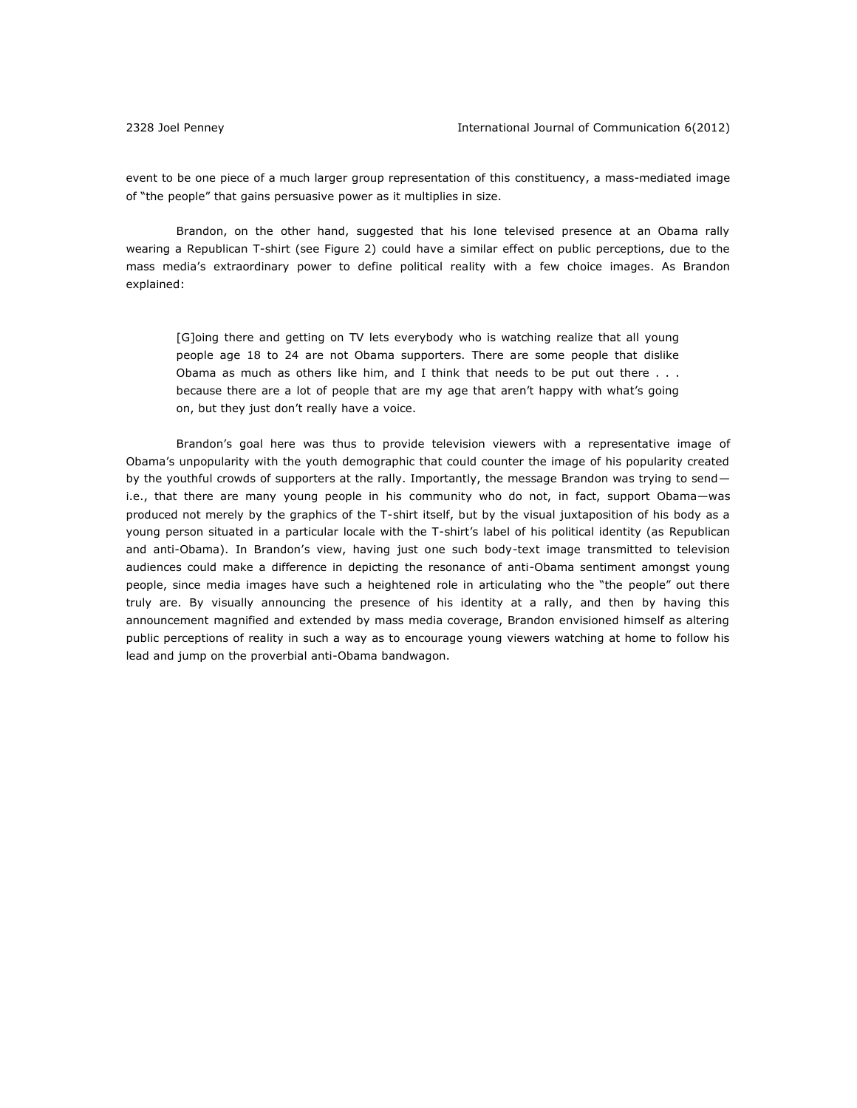event to be one piece of a much larger group representation of this constituency, a mass-mediated image of "the people" that gains persuasive power as it multiplies in size.

Brandon, on the other hand, suggested that his lone televised presence at an Obama rally wearing a Republican T-shirt (see Figure 2) could have a similar effect on public perceptions, due to the mass media's extraordinary power to define political reality with a few choice images. As Brandon explained:

[G]oing there and getting on TV lets everybody who is watching realize that all young people age 18 to 24 are not Obama supporters. There are some people that dislike Obama as much as others like him, and I think that needs to be put out there  $\ldots$ because there are a lot of people that are my age that aren't happy with what's going on, but they just don't really have a voice.

Brandon's goal here was thus to provide television viewers with a representative image of Obama's unpopularity with the youth demographic that could counter the image of his popularity created by the youthful crowds of supporters at the rally. Importantly, the message Brandon was trying to sendi.e., that there are many young people in his community who do not, in fact, support Obama—was produced not merely by the graphics of the T-shirt itself, but by the visual juxtaposition of his body as a young person situated in a particular locale with the T-shirt's label of his political identity (as Republican and anti-Obama). In Brandon's view, having just one such body-text image transmitted to television audiences could make a difference in depicting the resonance of anti-Obama sentiment amongst young people, since media images have such a heightened role in articulating who the "the people" out there truly are. By visually announcing the presence of his identity at a rally, and then by having this announcement magnified and extended by mass media coverage, Brandon envisioned himself as altering public perceptions of reality in such a way as to encourage young viewers watching at home to follow his lead and jump on the proverbial anti-Obama bandwagon.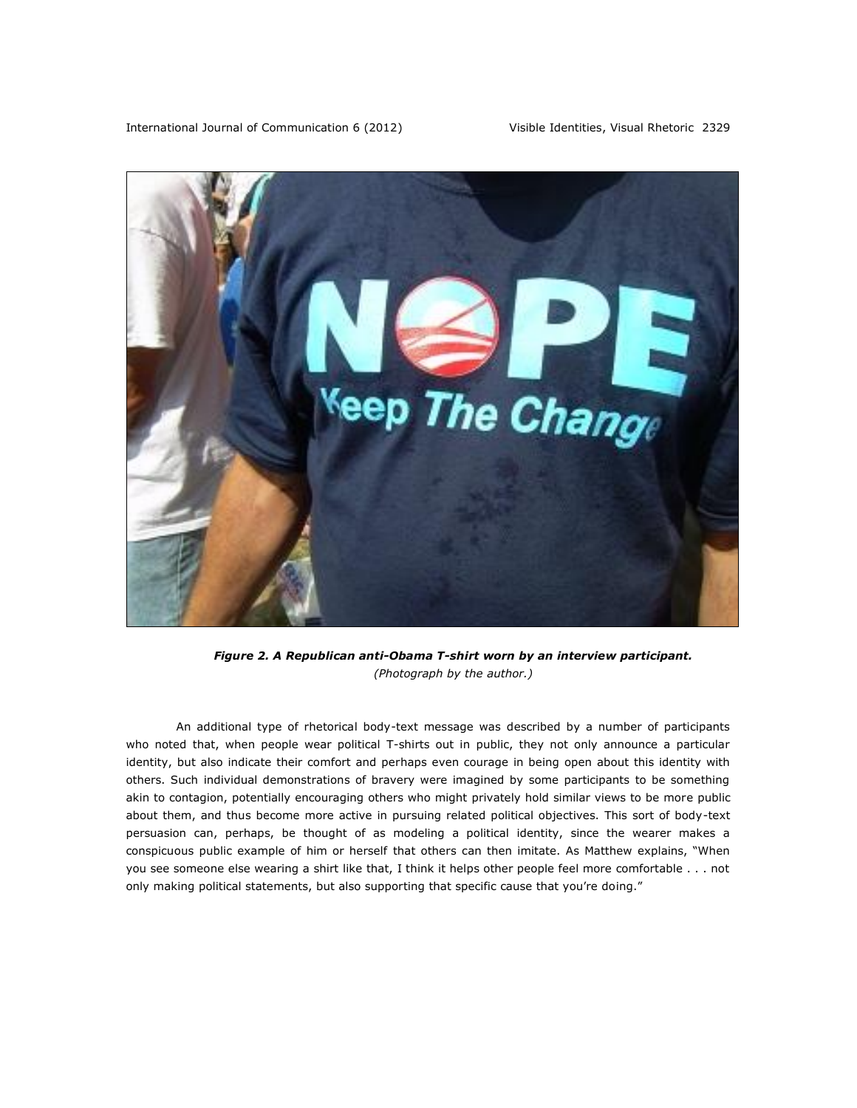International Journal of Communication 6 (2012) Visible Identities, Visual Rhetoric 2329



*Figure 2. A Republican anti-Obama T-shirt worn by an interview participant. (Photograph by the author.)*

An additional type of rhetorical body-text message was described by a number of participants who noted that, when people wear political T-shirts out in public, they not only announce a particular identity, but also indicate their comfort and perhaps even courage in being open about this identity with others. Such individual demonstrations of bravery were imagined by some participants to be something akin to contagion, potentially encouraging others who might privately hold similar views to be more public about them, and thus become more active in pursuing related political objectives. This sort of body-text persuasion can, perhaps, be thought of as modeling a political identity, since the wearer makes a conspicuous public example of him or herself that others can then imitate. As Matthew explains, "When you see someone else wearing a shirt like that, I think it helps other people feel more comfortable . . . not only making political statements, but also supporting that specific cause that you're doing."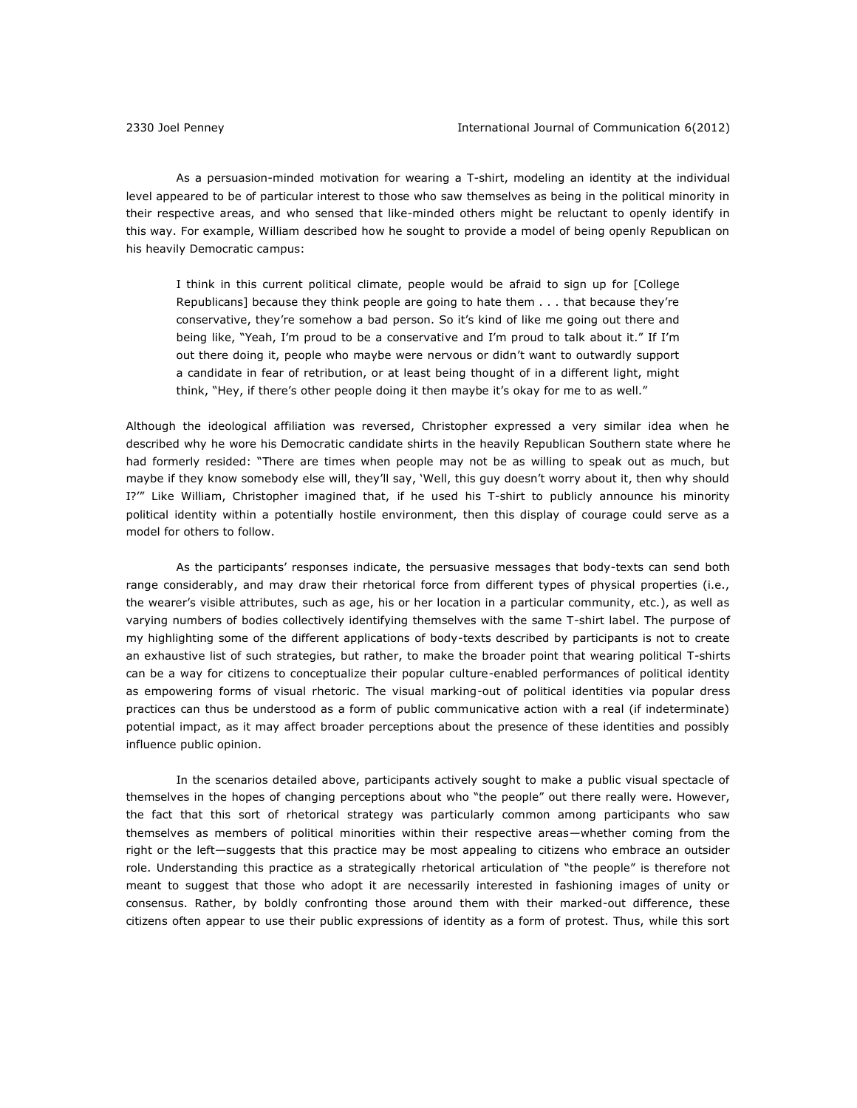As a persuasion-minded motivation for wearing a T-shirt, modeling an identity at the individual level appeared to be of particular interest to those who saw themselves as being in the political minority in their respective areas, and who sensed that like-minded others might be reluctant to openly identify in this way. For example, William described how he sought to provide a model of being openly Republican on his heavily Democratic campus:

I think in this current political climate, people would be afraid to sign up for [College Republicans] because they think people are going to hate them . . . that because they're conservative, they're somehow a bad person. So it's kind of like me going out there and being like, "Yeah, I'm proud to be a conservative and I'm proud to talk about it." If I'm out there doing it, people who maybe were nervous or didn't want to outwardly support a candidate in fear of retribution, or at least being thought of in a different light, might think, "Hey, if there's other people doing it then maybe it's okay for me to as well."

Although the ideological affiliation was reversed, Christopher expressed a very similar idea when he described why he wore his Democratic candidate shirts in the heavily Republican Southern state where he had formerly resided: "There are times when people may not be as willing to speak out as much, but maybe if they know somebody else will, they'll say, 'Well, this guy doesn't worry about it, then why should I?'" Like William, Christopher imagined that, if he used his T-shirt to publicly announce his minority political identity within a potentially hostile environment, then this display of courage could serve as a model for others to follow.

As the participants' responses indicate, the persuasive messages that body-texts can send both range considerably, and may draw their rhetorical force from different types of physical properties (i.e., the wearer's visible attributes, such as age, his or her location in a particular community, etc.), as well as varying numbers of bodies collectively identifying themselves with the same T-shirt label. The purpose of my highlighting some of the different applications of body-texts described by participants is not to create an exhaustive list of such strategies, but rather, to make the broader point that wearing political T-shirts can be a way for citizens to conceptualize their popular culture-enabled performances of political identity as empowering forms of visual rhetoric. The visual marking-out of political identities via popular dress practices can thus be understood as a form of public communicative action with a real (if indeterminate) potential impact, as it may affect broader perceptions about the presence of these identities and possibly influence public opinion.

In the scenarios detailed above, participants actively sought to make a public visual spectacle of themselves in the hopes of changing perceptions about who "the people" out there really were. However, the fact that this sort of rhetorical strategy was particularly common among participants who saw themselves as members of political minorities within their respective areas—whether coming from the right or the left—suggests that this practice may be most appealing to citizens who embrace an outsider role. Understanding this practice as a strategically rhetorical articulation of "the people" is therefore not meant to suggest that those who adopt it are necessarily interested in fashioning images of unity or consensus. Rather, by boldly confronting those around them with their marked-out difference, these citizens often appear to use their public expressions of identity as a form of protest. Thus, while this sort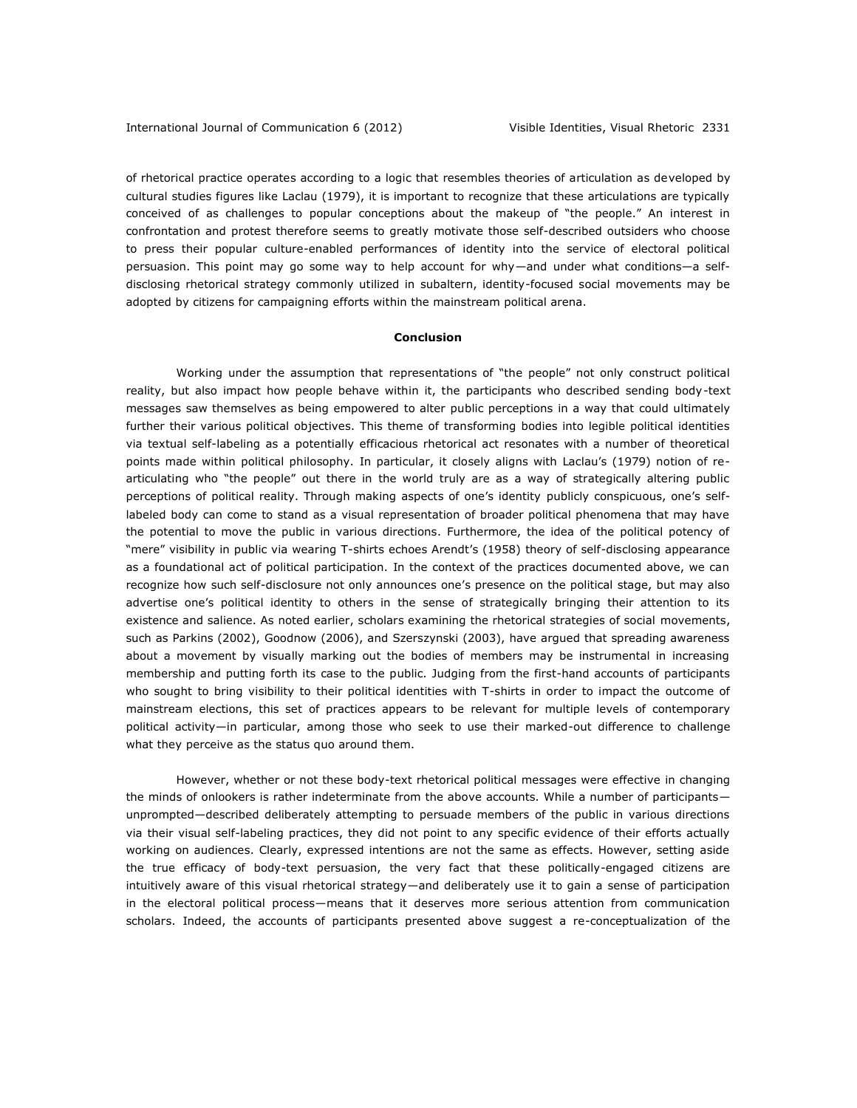of rhetorical practice operates according to a logic that resembles theories of articulation as developed by cultural studies figures like Laclau (1979), it is important to recognize that these articulations are typically conceived of as challenges to popular conceptions about the makeup of "the people." An interest in confrontation and protest therefore seems to greatly motivate those self-described outsiders who choose to press their popular culture-enabled performances of identity into the service of electoral political persuasion. This point may go some way to help account for why—and under what conditions—a selfdisclosing rhetorical strategy commonly utilized in subaltern, identity-focused social movements may be adopted by citizens for campaigning efforts within the mainstream political arena.

#### **Conclusion**

Working under the assumption that representations of "the people" not only construct political reality, but also impact how people behave within it, the participants who described sending body-text messages saw themselves as being empowered to alter public perceptions in a way that could ultimately further their various political objectives. This theme of transforming bodies into legible political identities via textual self-labeling as a potentially efficacious rhetorical act resonates with a number of theoretical points made within political philosophy. In particular, it closely aligns with Laclau's (1979) notion of rearticulating who "the people" out there in the world truly are as a way of strategically altering public perceptions of political reality. Through making aspects of one's identity publicly conspicuous, one's selflabeled body can come to stand as a visual representation of broader political phenomena that may have the potential to move the public in various directions. Furthermore, the idea of the political potency of "mere" visibility in public via wearing T-shirts echoes Arendt's (1958) theory of self-disclosing appearance as a foundational act of political participation. In the context of the practices documented above, we can recognize how such self-disclosure not only announces one's presence on the political stage, but may also advertise one's political identity to others in the sense of strategically bringing their attention to its existence and salience. As noted earlier, scholars examining the rhetorical strategies of social movements, such as Parkins (2002), Goodnow (2006), and Szerszynski (2003), have argued that spreading awareness about a movement by visually marking out the bodies of members may be instrumental in increasing membership and putting forth its case to the public. Judging from the first-hand accounts of participants who sought to bring visibility to their political identities with T-shirts in order to impact the outcome of mainstream elections, this set of practices appears to be relevant for multiple levels of contemporary political activity—in particular, among those who seek to use their marked-out difference to challenge what they perceive as the status quo around them.

However, whether or not these body-text rhetorical political messages were effective in changing the minds of onlookers is rather indeterminate from the above accounts. While a number of participants unprompted—described deliberately attempting to persuade members of the public in various directions via their visual self-labeling practices, they did not point to any specific evidence of their efforts actually working on audiences. Clearly, expressed intentions are not the same as effects. However, setting aside the true efficacy of body-text persuasion, the very fact that these politically-engaged citizens are intuitively aware of this visual rhetorical strategy—and deliberately use it to gain a sense of participation in the electoral political process—means that it deserves more serious attention from communication scholars. Indeed, the accounts of participants presented above suggest a re-conceptualization of the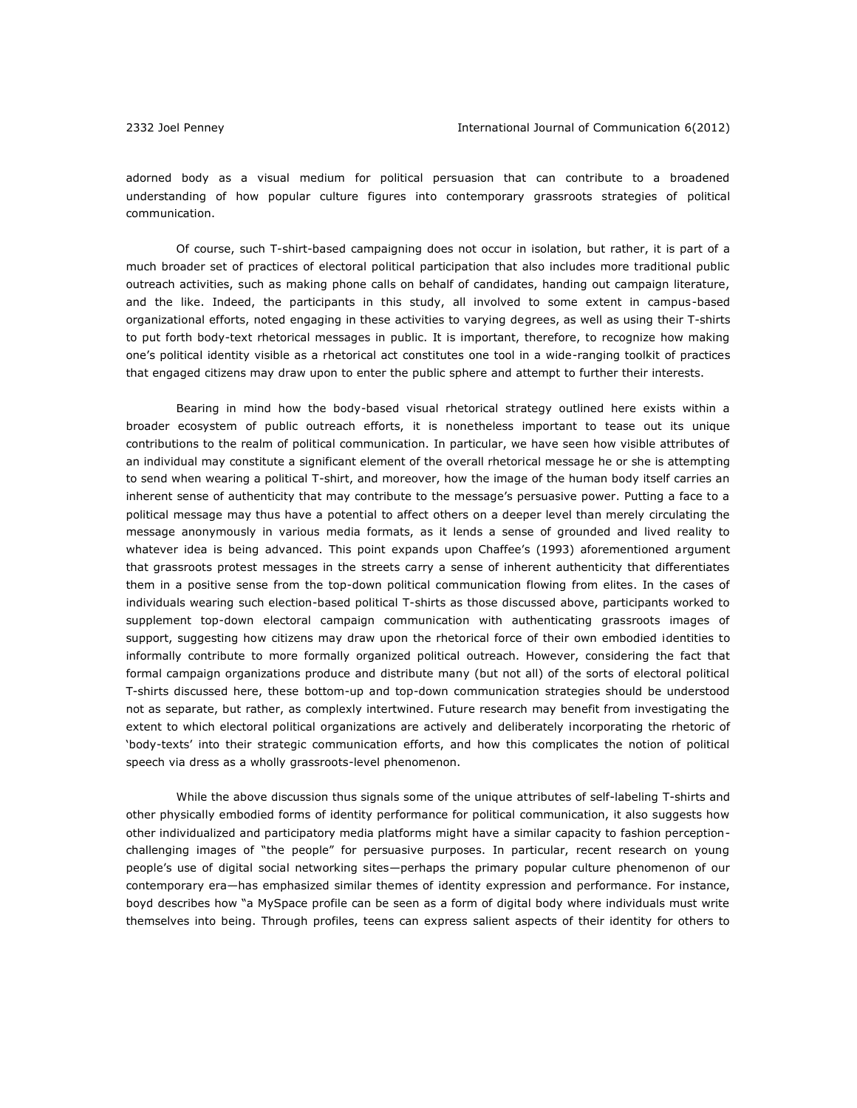adorned body as a visual medium for political persuasion that can contribute to a broadened understanding of how popular culture figures into contemporary grassroots strategies of political communication.

Of course, such T-shirt-based campaigning does not occur in isolation, but rather, it is part of a much broader set of practices of electoral political participation that also includes more traditional public outreach activities, such as making phone calls on behalf of candidates, handing out campaign literature, and the like. Indeed, the participants in this study, all involved to some extent in campus-based organizational efforts, noted engaging in these activities to varying degrees, as well as using their T-shirts to put forth body-text rhetorical messages in public. It is important, therefore, to recognize how making one's political identity visible as a rhetorical act constitutes one tool in a wide-ranging toolkit of practices that engaged citizens may draw upon to enter the public sphere and attempt to further their interests.

Bearing in mind how the body-based visual rhetorical strategy outlined here exists within a broader ecosystem of public outreach efforts, it is nonetheless important to tease out its unique contributions to the realm of political communication. In particular, we have seen how visible attributes of an individual may constitute a significant element of the overall rhetorical message he or she is attempting to send when wearing a political T-shirt, and moreover, how the image of the human body itself carries an inherent sense of authenticity that may contribute to the message's persuasive power. Putting a face to a political message may thus have a potential to affect others on a deeper level than merely circulating the message anonymously in various media formats, as it lends a sense of grounded and lived reality to whatever idea is being advanced. This point expands upon Chaffee's (1993) aforementioned argument that grassroots protest messages in the streets carry a sense of inherent authenticity that differentiates them in a positive sense from the top-down political communication flowing from elites. In the cases of individuals wearing such election-based political T-shirts as those discussed above, participants worked to supplement top-down electoral campaign communication with authenticating grassroots images of support, suggesting how citizens may draw upon the rhetorical force of their own embodied identities to informally contribute to more formally organized political outreach. However, considering the fact that formal campaign organizations produce and distribute many (but not all) of the sorts of electoral political T-shirts discussed here, these bottom-up and top-down communication strategies should be understood not as separate, but rather, as complexly intertwined. Future research may benefit from investigating the extent to which electoral political organizations are actively and deliberately incorporating the rhetoric of 'body-texts' into their strategic communication efforts, and how this complicates the notion of political speech via dress as a wholly grassroots-level phenomenon.

While the above discussion thus signals some of the unique attributes of self-labeling T-shirts and other physically embodied forms of identity performance for political communication, it also suggests how other individualized and participatory media platforms might have a similar capacity to fashion perceptionchallenging images of "the people" for persuasive purposes. In particular, recent research on young people's use of digital social networking sites—perhaps the primary popular culture phenomenon of our contemporary era—has emphasized similar themes of identity expression and performance. For instance, boyd describes how "a MySpace profile can be seen as a form of digital body where individuals must write themselves into being. Through profiles, teens can express salient aspects of their identity for others to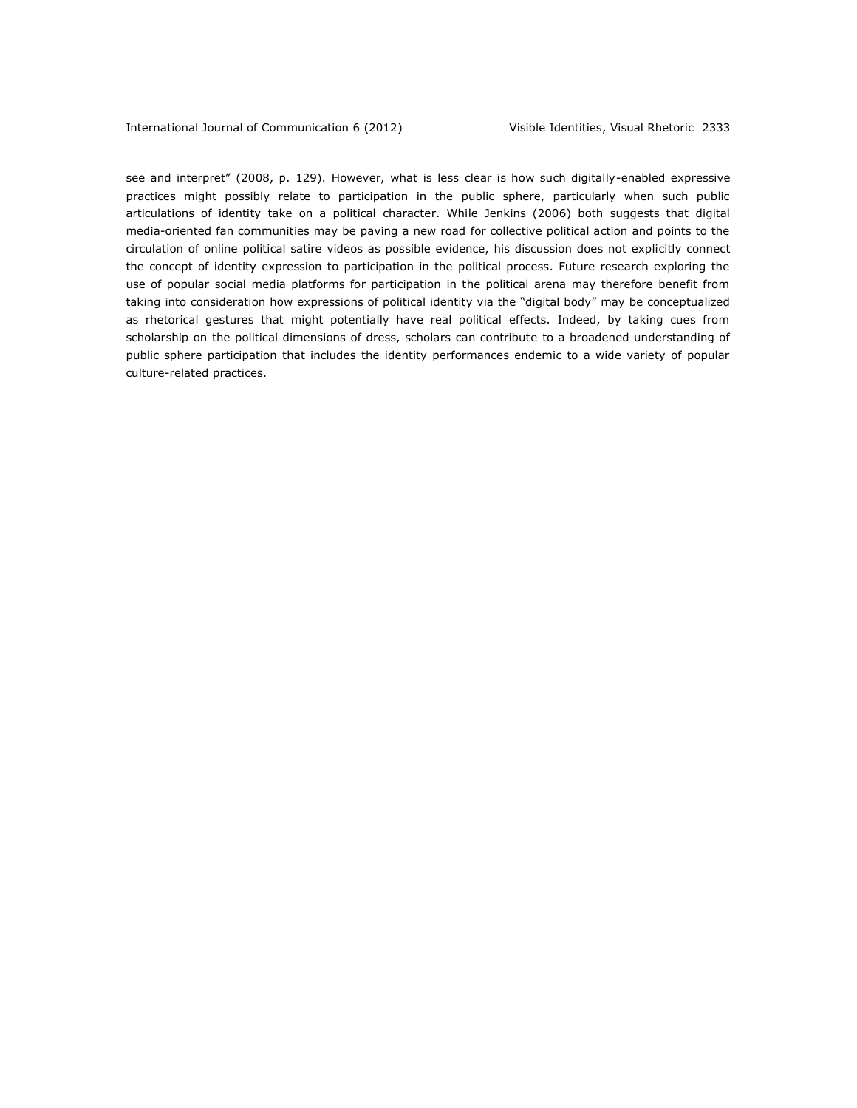see and interpret" (2008, p. 129). However, what is less clear is how such digitally-enabled expressive practices might possibly relate to participation in the public sphere, particularly when such public articulations of identity take on a political character. While Jenkins (2006) both suggests that digital media-oriented fan communities may be paving a new road for collective political action and points to the circulation of online political satire videos as possible evidence, his discussion does not explicitly connect the concept of identity expression to participation in the political process. Future research exploring the use of popular social media platforms for participation in the political arena may therefore benefit from taking into consideration how expressions of political identity via the "digital body" may be conceptualized as rhetorical gestures that might potentially have real political effects. Indeed, by taking cues from scholarship on the political dimensions of dress, scholars can contribute to a broadened understanding of public sphere participation that includes the identity performances endemic to a wide variety of popular culture-related practices.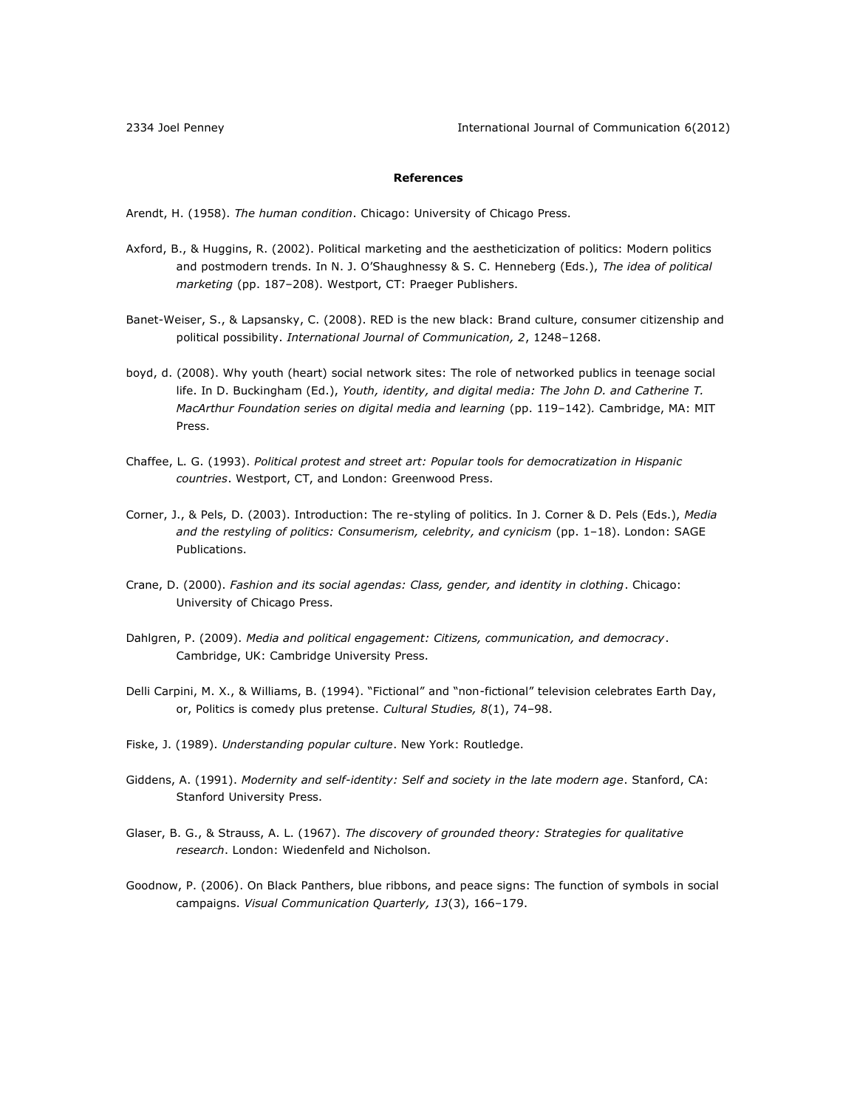# **References**

Arendt, H. (1958). *The human condition*. Chicago: University of Chicago Press.

- Axford, B., & Huggins, R. (2002). Political marketing and the aestheticization of politics: Modern politics and postmodern trends. In N. J. O'Shaughnessy & S. C. Henneberg (Eds.), *The idea of political marketing* (pp. 187–208). Westport, CT: Praeger Publishers.
- Banet-Weiser, S., & Lapsansky, C. (2008). RED is the new black: Brand culture, consumer citizenship and political possibility. *International Journal of Communication, 2*, 1248–1268.
- boyd, d. (2008). Why youth (heart) social network sites: The role of networked publics in teenage social life. In D. Buckingham (Ed.), *Youth, identity, and digital media: The John D. and Catherine T. MacArthur Foundation series on digital media and learning* (pp. 119–142)*.* Cambridge, MA: MIT Press.
- Chaffee, L. G. (1993). *Political protest and street art: Popular tools for democratization in Hispanic countries*. Westport, CT, and London: Greenwood Press.
- Corner, J., & Pels, D. (2003). Introduction: The re-styling of politics. In J. Corner & D. Pels (Eds.), *Media and the restyling of politics: Consumerism, celebrity, and cynicism* (pp. 1–18). London: SAGE Publications.
- Crane, D. (2000). *Fashion and its social agendas: Class, gender, and identity in clothing*. Chicago: University of Chicago Press.
- Dahlgren, P. (2009). *Media and political engagement: Citizens, communication, and democracy*. Cambridge, UK: Cambridge University Press.
- Delli Carpini, M. X., & Williams, B. (1994). "Fictional" and "non-fictional" television celebrates Earth Day, or, Politics is comedy plus pretense. *Cultural Studies, 8*(1), 74–98.
- Fiske, J. (1989). *Understanding popular culture*. New York: Routledge.
- Giddens, A. (1991). *Modernity and self-identity: Self and society in the late modern age*. Stanford, CA: Stanford University Press.
- Glaser, B. G., & Strauss, A. L. (1967). *The discovery of grounded theory: Strategies for qualitative research*. London: Wiedenfeld and Nicholson.
- Goodnow, P. (2006). On Black Panthers, blue ribbons, and peace signs: The function of symbols in social campaigns. *Visual Communication Quarterly, 13*(3), 166–179.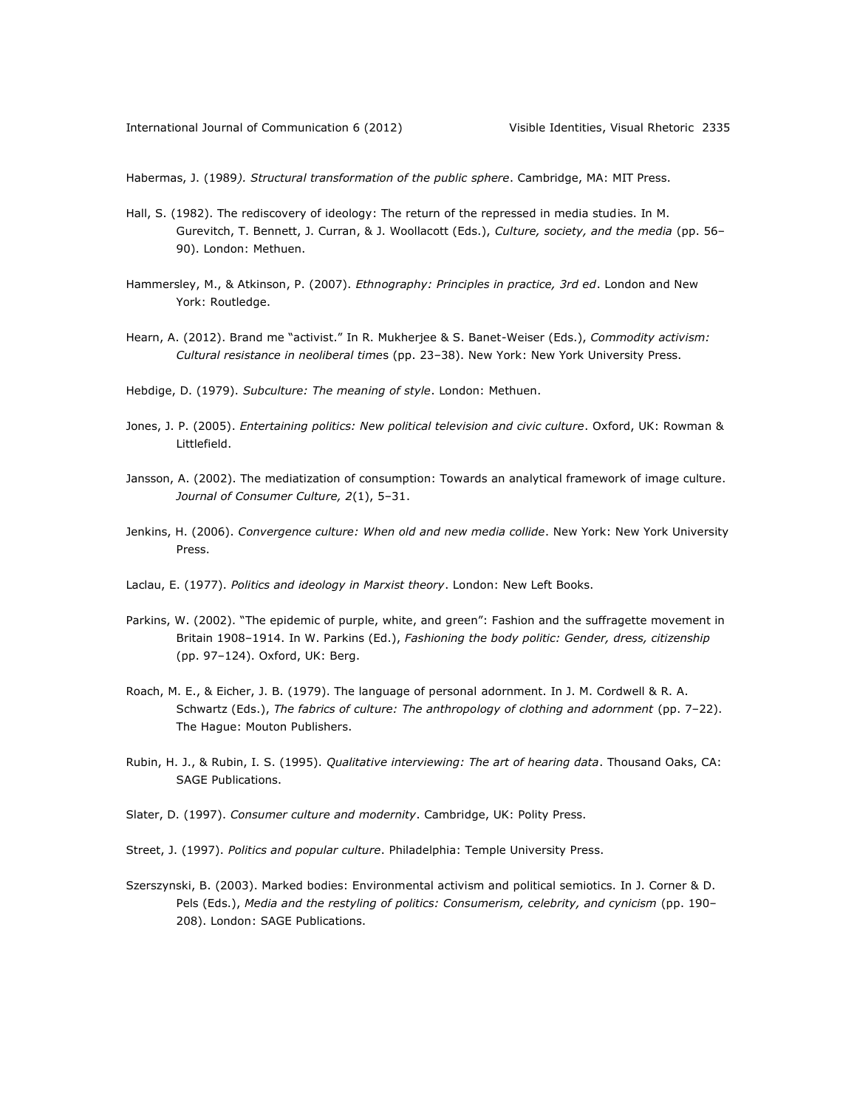Habermas, J. (1989*). Structural transformation of the public sphere*. Cambridge, MA: MIT Press.

- Hall, S. (1982). The rediscovery of ideology: The return of the repressed in media studies. In M. Gurevitch, T. Bennett, J. Curran, & J. Woollacott (Eds.), *Culture, society, and the media* (pp. 56– 90). London: Methuen.
- Hammersley, M., & Atkinson, P. (2007). *Ethnography: Principles in practice, 3rd ed*. London and New York: Routledge.
- Hearn, A. (2012). Brand me "activist." In R. Mukherjee & S. Banet-Weiser (Eds.), *Commodity activism: Cultural resistance in neoliberal time*s (pp. 23–38). New York: New York University Press.
- Hebdige, D. (1979). *Subculture: The meaning of style*. London: Methuen.
- Jones, J. P. (2005). *Entertaining politics: New political television and civic culture*. Oxford, UK: Rowman & Littlefield.
- Jansson, A. (2002). The mediatization of consumption: Towards an analytical framework of image culture. *Journal of Consumer Culture, 2*(1), 5–31.
- Jenkins, H. (2006). *Convergence culture: When old and new media collide*. New York: New York University Press.
- Laclau, E. (1977). *Politics and ideology in Marxist theory*. London: New Left Books.
- Parkins, W. (2002). "The epidemic of purple, white, and green": Fashion and the suffragette movement in Britain 1908–1914. In W. Parkins (Ed.), *Fashioning the body politic: Gender, dress, citizenship*  (pp. 97–124). Oxford, UK: Berg.
- Roach, M. E., & Eicher, J. B. (1979). The language of personal adornment. In J. M. Cordwell & R. A. Schwartz (Eds.), *The fabrics of culture: The anthropology of clothing and adornment* (pp. 7–22). The Hague: Mouton Publishers.
- Rubin, H. J., & Rubin, I. S. (1995). *Qualitative interviewing: The art of hearing data*. Thousand Oaks, CA: SAGE Publications.
- Slater, D. (1997). *Consumer culture and modernity*. Cambridge, UK: Polity Press.
- Street, J. (1997). *Politics and popular culture*. Philadelphia: Temple University Press.
- Szerszynski, B. (2003). Marked bodies: Environmental activism and political semiotics. In J. Corner & D. Pels (Eds.), *Media and the restyling of politics: Consumerism, celebrity, and cynicism* (pp. 190– 208). London: SAGE Publications.